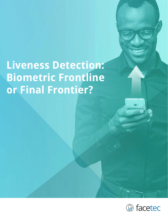# **Liveness Detection: Biometric Frontline or Final Frontier?**

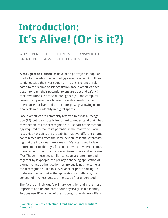# **Introduction: It's Alive! (Or is it?)**

why liveness detection is the answer to biometrics' most critical question

**Although face biometrics** have been portrayed in popular media for decades, the technology never reached its full potential outside the silver screen until 2018. No longer relegated to the realms of science fiction, face biometrics have begun to reach their potential to ensure trust and safety. It took revolutions in artificial intelligence (AI) and computer vision to empower face biometrics with enough precision to enhance our lives and protect our privacy, allowing us to finally claim our identity in digital spaces.

Face biometrics are commonly referred to as facial recognition (FR), but it is critically important to understand that what most people call facial recognition is just part of the technology required to realize its potential in the real world. Facial recognition predicts the probability that two different photos contain face data from the same person, essentially forecasting that the individuals are a match. It's often used by law enforcement to identify a face in a crowd, but when it comes to our account security the correct term is face authentication (FA). Though these two similar concepts are often lumped together by laypeople, the privacy-enhancing application of biometric face authentication technology is not the same as facial recognition used in surveillance or photo sorting. To understand what makes the applications so different, the concept of "liveness detection" must be first understood.

The face is an individual's primary identifier and is the most important and unique part of our physically visible identity. FA does use FR as a part of the process, but with very differ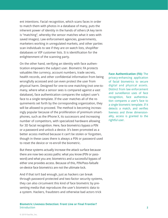ent intentions. Facial recognition, which scans faces in order to match them with photos in a database of many, puts the inherent power of identity in the hands of others (A key term is "matching", whereby the sensor matches what it sees with saved images). Law enforcement agencies, governments, marketers working in unregulated markets, and other parties scan individuals to see if they are on watch lists, shoplifter databases or VIP customer lists. It is identification for the enlightenment of the scanning party.

On the other hand, verifying an identity with face authentication empowers the subject user. Biometric FA protects valuables like currency, account numbers, trade secrets, health records, and other confidential information from being wrongfully accessed and can even protect the user from physical harm. Designed for one-to-one matching (not one-tomany, where what a sensor sees is compared against a vast database), face authentication compares the subject user's face to a single template. If the user matches all of the requirements set forth by the corresponding organization, they will be allowed to proceed. The method is becoming increasingly popular because of the proliferation of premium smartphones, such as the iPhone X, its successors and increasing number of competitors, with specialized hardware allowing for 3D facial recognition. Here, face biometrics bypass a PIN or a password and unlock a device. It's been promoted as a better access method because it can't be stolen or forgotten, though in these cases there is always a PIN or password used to reset the device or re-enroll the biometric.

But these systems actually increase the attack surface because there are now two access paths: what you know (PIN or password) and what you are; biometrics and a successful bypass of either one provides access. Because of this, PIN/Pass-failsafe on-device face biometrics are not the ultimate lock.

And if that isn't bad enough, just as hackers can break through password protected and two-factor security systems, they can also circumvent this kind of face biometric by presenting media that reproduces the user's biometric data to a system. Hackers, fraudsters and otherwise bad actors trick

#### **Biometric Liveness Detection: Front Line or Final Frontier?** Introduction **2**

**Face Authentication (FA):** The privacy-enhancing application of facial biometrics to secure digital and physical assets. Distinct from law enforcement and surveillance uses of face recognition, face authentication compares a user's face to a single biometric template. If it detects a match, and verifies liveness and three dimensionality, access is granted to the rightful user.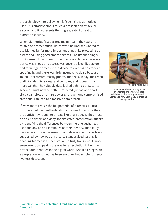the technology into believing it is "seeing" the authorized user. This attack vector is called a presentation attack, or a spoof, and it represents the single greatest threat to biometric security.

When biometrics first became mainstream, they weren't trusted to protect much, which was fine until we wanted to use biometrics for more important things like protecting our assets and using government services. The iPhone's fingerprint sensor did not need to be un-spoofable because every device was siloed and access was decentralized. Bad actors had to first gain access to the device to even take a crack at spoofing it, and there was little incentive to do so because Touch ID protected mostly photos and texts. Today, the reach of digital identity is deep and complex, and it bears much more weight. The valuable data locked behind our security schemes must now be better protected. Just as one short circuit can blow an entire power grid, even one compromised credential can lead to a massive data breach.

If we want to realize the full potential of biometrics – true unsupervised user authentication – we need to ensure they are sufficiently robust to threats like those above. They must be able to detect and deny sophisticated presentation attacks by identifying the differences between the one authorized user and any and all facsimiles of their identity. Thankfully, innovative and creative research and development, objectively supported by rigorous third-party standardized testing, is enabling biometric authentication to truly transcend its notso-secure roots, paving the way for a revolution in how we protect our identities in the digital world. And it all hinges on a simple concept that has been anything but simple to create: liveness detection.



[\(IMAGE VIA TOM](https://www.tomsguide.com/us/galaxy-s10-facial-recognition,news-29606.html)'[S GUIDE\)](https://www.tomsguide.com/us/galaxy-s10-facial-recognition,news-29606.html)

Convenience above security – The current state of hardware-based facial recognition as implemented in [Samsung's new Galaxy S10 is creating](https://www.tomsguide.com/us/galaxy-s10-facial-recognition,news-29606.html)  a negative buzz.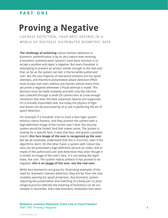### **p a r t o n e**

# **Proving a Negative**

liveness detection, your best defense in a WORLD OF DIGITALLY DISTRIBUTED BIOMETRIC DATA

**The challenge of achieving** robust liveness detection in biometric authentication is by its very nature ever-evolving. A biometric authentication system's most basic function is to accept a positive and reject a negative. But every fraudster is attempting to present an artifact similar enough to the real user that, as far as the system can tell, is the bonafide authorized user. But the vast majority of real-world sessions are not spoof attempts, and therefore presentation attack detection (PAD) must accept real users without any hassles almost every time, yet prove a negative whenever a fraud attempt is made. This decision must be made instantly and with only the information collected through a small 2D camera lens at a low enough resolution that even the least expensive devices are supported. It's a virtually impossible task, but today the physics of light and lenses can be processed by AI to aid in perfecting the art of spoof detection.

For example, if a fraudster tries to crack a face login system without robust liveness, and they present the camera with a high-definition image of the correct user's face, the security system would be fooled. And that makes sense. The system is looking for a specific face, it sees that face, and grants a positive match: **this face image of the user is recognized as the user**. But we all intuitively understand that this is incorrect, even if the algorithms don't. On the other hand, a system with robust liveness can be presented a high-definition picture (or video, doll or mask) of the authorized user and determine that, even though it is shown an image of the user's face, it is not seeing the legitimate, live user. The system rejects artifacts it has proved to be negative: **this is an image of the user, not the real user**.

While face biometrics are great for illustrating examples of the need for biometric liveness detection, they are far from the only modality wanting for spoof protection. Any biometric system requiring the presentation and matching of a body part or physiological process (literally the meaning of biometry) can be vulnerable to facsimiles. Even new biometric modalities that seem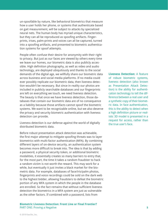un-spoofable by nature, like behavioral biometrics that measure how a user holds her phone, or systems that authenticate based on gait measurement, will be subject to attacks by specialized neural nets. The human body has myriad unique characteristics, but they can all be reproduced as spoofing artifacts. Fingerprints, irises, palm-prints and voices can all be captured, turned into a spoofing artifacts, and presented to biometric authentication systems for spoof attempts.

People often confuse their desire for anonymity with their right to privacy. But just as our faces are viewed by others every time we leave our homes, our biometric data is also publicly accessible. High definition photography, as well as video and audio technology, are deployed ubiquitously and thanks to the social demands of the digital age, we willfully share our biometric data across business and social media platforms. If no media could ever possibly replicate our biometric data, then liveness detection wouldn't be necessary. But since in reality our photos are included in publicly searchable databases and our fingerprints are left on everything we touch, we need liveness detection. The beauty is that once we have liveness detection, those databases that contain our biometric data are of no consequence as a liability because those artifacts cannot spoof the biometric systems. We want to be recognizable online, but we also deserve the privacy and security biometric authentication with liveness detection can provide.

Liveness detection is our defense against the world of digitally distributed biometric data.

Before robust presentation attack detection was achievable, the first major attempt to mitigate spoofing threats was to layer biometrics with multi-factor authentication (MFA). By combining different layers of on-device security, an authentication system becomes more difficult to break into. The idea is that by adding a password, a physical security token, or additional biometric modalities, it essentially creates so many barriers to entry that, for the most part, the time it takes a random fraudster to hack a random victim is not worth the reward. This may work for a while, but eventually it just invites a black market for the biometric data. For example, databases of face/iris/palm photos, fingerprints and voice recordings could be sold on the dark web to the highest bidder, allowing fraudsters to defeat the biometric portion of any MFA system in which the people in the database are enrolled. So the fact remains that without sufficient liveness detection the biometrics in a MFA system are just as vulnerable as the other factors. If combined with a password, lists from

#### **Biometric Liveness Detection: Front Line or Final Frontier?** PART ONE: Proving a Negative **5**

**Liveness Detection:** A feature of robust biometric systems, liveness detection (also known as Presentation Attack Detection) is the ability for authentication technology to tell the difference between a real user and a synthetic copy of their biometric data. In face authentication, this is the ability to detect when a high definition picture or realistic 3D model is presented in a request for access, rather than the true user's face.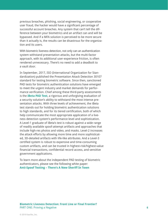previous breaches, phishing, social engineering, or cooperative user fraud, the hacker would have a significant percentage of successful account breaches. Any system that can't tell the difference between your biometrics and an artifact can and will be bypassed. And if a MFA solution is perceived to be more secure than it actually is, the results can be disastrous for the organization and its users.

With biometric liveness detection, not only can an authentication system withstand presentation attacks, but the multi-factor approach, with its additional user-experience friction, is often rendered unnecessary. There's no need to add a deadbolt to a vault door.

In September, 2017, ISO (International Organization for Standardization) published the Presentation Attack Detection 30107 standard for testing biometric software. Since then, sanctioned PAD tests for biometric authentication solutions have emerged to meet the urgent industry and market demands for performance verification. Chief among these third-party assessments is the **[iBeta PAD Test](https://www.ibeta.com/our-software-quality-services/biometrics-testing)**, a rigorous and unforgiving evaluation of a security solution's ability to withstand the most intense presentation attacks. With three levels of achievement, the iBeta test stands out for holding biometric authentication solutions to high standards, and for its tiered certification, both of which help communicate the most appropriate application of a liveness detection system's performance level and sophistication. A Level-1 graduate of iBeta's test is robust against a wide range of readily available spoof-attempt artifacts and approaches that include high-res photos and video, and masks. Level-2 increases the attack efforts by allowing more time and more sophisticated, 3D-detailed artifacts with life-like attributes. And a Level-3 certified system is robust to expensive and time-consuming custom artifacts, and can be trusted in highest-risk/highest-value financial transactions, confidential record access, and sensitive government applications.

To learn more about the independent PAD testing of biometric authenticators, please see the following white paper: **[Anti-Spoof Testing – There's A New Sheriff In Town](https://www.zoomlogin.com/wp-content/uploads/2018/11/FaceTec_PAD_Testing_Whitepaper.pdf)**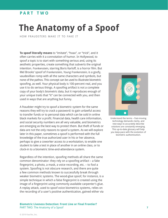### **p a r t t w o**

## **The Anatomy of a Spoof**

how fraudsters make it to fake it

**To spoof literally means** to "imitate", "hoax", or "trick", and it often carries with it a connotation of humor. In Hollywood, to spoof a topic is to start with something serious and, using its aesthetic properties, create something that subverts the original intention. Frankenstein, starring Boris Karloff, is a horror film. But Mel Brooks' spoof of Frankenstein, Young Frankenstein, is a goofy, vaudevillian romp with all the same characters and symbols, but none of the pathos. This concept can be used to illustrate biometric spoofing, as well. Your physical body is 100-percent real, and you use it to do serious things. A spoofing artifact is not a complete copy of your body's biometric data, but it reproduces enough of your unique traits that "it" can be connected with you, and then used in ways that are anything but funny.

A fraudster might try to spoof a biometric system for the same reasons they will try to crack a password: to gain unlawful access to transfer funds or to personal data which can be sold in online black markets for a profit. Financial data, health care information, and social security numbers are all very valuable, and biometrics are emerging as the best way to protect them. But theft of funds or data are not the only reasons to spoof a system. As we will explore later in this paper, sometimes a spoof is performed with the full knowledge of the true authorized user in his or her absence, perhaps to give a coworker access to a workstation, to enable one student to take a test in place of another in an online class, or to clock-in to a biometric time-and-attendance system.

Regardless of the intention, spoofing methods all share the same common denominator: they rely on a spoofing artifact – a fake fingerprint, a photo, a mask, a voice recording, etc. – to fool a system. Spoofing is not obscure research, and there are quite a few common methods known to successfully break through weaker biometric systems. The wood-glue spoof, for instance, is a simple technique in which a false fingerprint is created using the image of a fingerprint using commonly available carpenter's glue. A replay attack, used to spoof voice biometrics systems, relies on the recording of a user's positive authentication, gained either via

[Understand the terms – Fast-moving](https://www.zoomlogin.com/glossary)  technology demands clarity, and new ways to accurately describe solutions are constantly emerging. This up-to-date glossary will help you keep pace with the evolution of biometric authentication.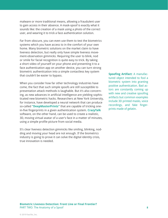malware or more traditional means, allowing a fraudulent user to gain access in their absence. A mask-spoof is exactly what it sounds like: the creation of a mask using a photo of the correct user, and wearing it to trick a face authentication solution.

Far from obscure, you can even use them to test the biometrics systems which you have access to in the comfort of your own home. Many biometric solutions on the market claim to have liveness detection, but really only have simple liveness movement-observation gimmicks. Requiring the user to blink, nod or smile for facial recognition is quite easy to trick. By taking a short video of yourself on your phone and presenting it to a face authentication app on another device, you can turn strong biometric authentication into a simple contactless key system that couldn't be easier to bypass.

When you consider how far other technology industries have come, the fact that such simple spoofs are still susceptible to presentation attack methods is laughable. But it's also concerning, as new advances in artificial intelligence are yielding sophisticated new biometric hacks. Researchers at New York University, for instance, have developed a neural network that can produce so-called **["DeepMasterPrints"](https://searchsecurity.techtarget.com/news/252452989/DeepMasterPrints-fake-fingerprints-can-fool-fingerprint-sensors)** that are capable of tricking onein-five fingerprints in a given authentication system. **[CrazyTalk](https://www.reallusion.com/crazytalk/)** software, on the other hand, can be used to create a realistic, 3D, moving virtual avatar of a user's face in a matter of minutes, using a simple profile picture from social media.

It's clear liveness detection gimmicks like smiling, blinking, nodding and moving your head are not enough. If the biometrics industry is going to prove it can solve the digital identity crisis, true innovation is needed.

**Spoofing Artifact:** A manufactured object intended to fool a biometric system into granting positive authentication. Bad actors are constantly coming up with new and creative spoofing artifacts but common examples include 3D printed masks, voice recordings, and fake fingerprints made of gelatin.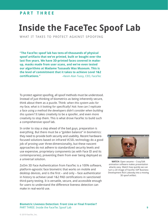### **PART THREE**

## **Inside the FaceTec Spoof Lab**

WHAT IT TAKES TO PROTECT AGAINST SPOOFING

**"The FaceTec spoof lab has tens-of-thousands of physical spoof artifacts that we've printed, built or bought over the last five years. We have 3D-printed faces covered in makeup, masks made from user scans, and we've even tested our algorithms at Madame Tussauds Wax Museum. This is the level of commitment that it takes to achieve Level 1&2 certifications."** –Kevin Alan Tussy, CEO, FaceTec

To protect against spoofing, all spoof methods must be understood. Instead of just thinking of biometrics as being inherently secure, think about them as a puzzle. Think: when this system asks for my face, what is it looking for specifically? Ask: how can I replicate a face using a method the developers didn't consider when building this system? It takes creativity to be a spoofer, and even more creativity to stop them. This is what drove FaceTec to build such a comprehensive spoof lab.

In order to stay a step ahead of the bad guys, preparation is everything. But there must be a "golden balance" in biometrics: they need to provide both security and usability. Recent hardwarefocused solutions based on infrared VCSEL technology do a good job of proving user three-dimensionality, but these nascent approaches do not adhere to standardized security levels and use expensive, proprietary components (as with Face ID and its contemporaries), preventing them from ever being deployed as a universal solution.

ZoOm 3D Face Authentication from FaceTec is a 100% software, platform-agnostic face biometric that works on mobile and desktop devices, and is the first – and only – face authenticator in history to achieve Level 1&2 PAD certifications in sanctioned third-party testing. It is versatile, secure, and accessible enough for users to understand the difference liveness detection can make in real-world use.



**WATCH:** Open sesame – CrazyTalk animation software makes presentation attacks easy. Watch how quickly we can turn a 2D image of FaceTec SVP Business [Development Rich Lobovsky into a moving](https://www.youtube.com/watch?v=Bb0XvAQcntY&feature=youtu.be)  3D spoof artifact.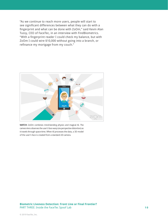"As we continue to reach more users, people will start to see significant differences between what they can do with a fingerprint and what can be done with ZoOm," said Kevin Alan Tussy, CEO of FaceTec, in an interview with FindBiometrics. "With a fingerprint reader I could check my balance, but with ZoOm I could wire \$10,000 without going into a branch, or refinance my mortgage from my couch."



**WATCH:** ZoOm combines mind-bending physics and magical AI. The camera lens observes the user's face warp (via perspective distortion) as it travels through space-time. When AI processes the data, a 3D model of the user's face is created from a standard 2D camera.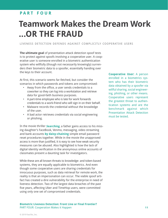### **p a r t f o u r**

### **Teamwork Makes the Dream Work ...OR THE FRAUD**

liveness detection defends against complicitly cooperative users

**The ultimate goal** of presentation attack detection spoof tests is to protect against spoofs involving a cooperative user. A cooperative user is someone enrolled in a biometric authentication system who willfully (though not necessarily knowingly) surrenders their biometric data to a spoofer, essentially handing over the keys to their account.

At first, this scenario seems far-fetched, but consider the scenarios in which passwords and tokens are compromised:

- Away from the office, a user sends credentials to a coworker so they can log into a workstation and retrieve data for good-faith business purposes.
- A part-time employee who is late for work forwards credentials to a work-friend who will sign in on their behalf.
- Malware records the credential without the knowledge of the user.
- A bad actor retrieves credentials via social engineering or phishing.

In the movie thriller **[Searching](http://www.searching.movie)**, a father gains access to his missing daughter's FaceBook, Venmo, messaging, video streaming and bank accounts **[by daisy-chaining](https://youtu.be/3Ro9ebQxEOY?t=75)** simple email password reset procedures together. While in the movie the unapproved access is more than justified, it is easy to see how weak security measures can be abused. Also highlighted is how the lack of digital identity verification in the anonymous online accounts of classmates present a daunting task for investigators.

While these are all known threats to knowledge- and token-based systems, they are equally applicable to biometrics. And even though some cooperative users are sharing credentials for innocuous purposes, such as data retrieval for remote work, the reality is that an impersonation can occur. The viable spoof artifact has created a dire vulnerability for the enterprise in need of liveness detection. Two of the largest data breaches of the past five years, affecting Uber and TimeHop users, were committed using only one set of compromised credentials.

**Cooperative User:** A person enrolled in a biometrics system who has their biometric data obtained by a spoofer via willful sharing, social engineering, phishing, or other means. Cooperative users represent the greatest threat to authentication systems and are the benchmark against which Presentation Attack Detection must be tested.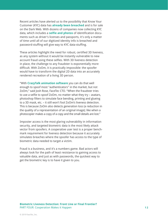Recent articles have alerted us to the possibility that Know Your Customer (KYC) data has **[already been breached](https://www.ccn.com/hacked-customer-data-from-world-leading-cryptocurrency-exchanges-for-sale-on-the-dark-web/)** and is for sale on the Dark Web. With dozens of companies now collecting KYC data, which includes a **[selfie and photos](https://www.pymnts.com/news/security-and-risk/2018/hackers-selling-data-plus-selfies/)** of identification documents such as driver's licenses and passports, it's only a matter of time until all of our digitized identity info is breached and password-stuffing will give way to KYC data-stuffing.

These articles highlight the need for robust, certified 3D liveness, as any system without it would be instantly vulnerable to new account fraud using these selfies. With 3D liveness detection in place, the challenge to any fraudster is exponentially more difficult. With ZoOm, it is practically impossible: the spoofer would have to transform the digital 2D data into an accurately rendered recreation of a living 3D person.

"With **[CrazyTalk animation software](https://www.youtube.com/watch?v=SeyiGnB54HQ&feature=youtu.be)** you can do that well enough to spoof most "authenticators" in the market, but not ZoOm," said Josh Rose, FaceTec CTO. "When the fraudster tries to use a selfie to spoof ZoOm, no matter what they try – avatars, photoshop filters to simulate face bending, printing and glueing to a 3D mask, etc. – it still won't fool ZoOm's liveness detection. This is because ZoOm also detects generation loss (a reduction in the quality of a representation of an original image); like when a photocopier makes a copy of a copy and the small details are lost."

Imposter access is the most glaring vulnerability in information security, and targeted biometric data is the most likely attack vector from spoofers. A cooperative user test is a proper benchmark requirement for liveness detection because it accurately simulates breaches where the spoofer has access to the type of biometric data needed to target a victim.

Fraud is a business, and it's a numbers game. Bad actors will always look for the path of least resistance to gaining access to valuable data, and just as with passwords, the quickest way to get the biometric key is to have it given to you.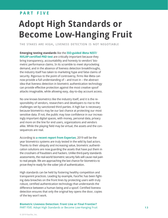#### **p a r t f i v e**

# **Adopt High Standards or Become Low-Hanging Fruit**

the stakes are high, liveness detection is not negotiable

**Emerging testing standards** like the **[ISO-guided iBeta NIST/](https://www.ibeta.com/our-software-quality-services/biometrics-testing/) [NVLAP-certified PAD test](https://www.ibeta.com/our-software-quality-services/biometrics-testing/)** are critically important because they bring transparency, accountability and honesty to vendors' biometric performance claims. In its scramble to meet skyrocketing demand, and in the absence of liveness detection breakthroughs, the industry itself has taken to marketing hype and false claims of security. Rigorous to the point of controversy, firms like iBeta can now provide a full understanding of – and trust in – the abstract idea that liveness detection in biometric authentication technology can provide effective protection against the most creative spoof attacks imaginable, while allowing easy, day-to-day account access.

No one knows biometrics like the industry itself, and it is the responsibility of vendors, researchers and developers to rise to the challenges set by sanctioned third parties. A high bar is necessary because biometrics may be our last chance at protecting our most sensitive data. If not, the public may lose confidence in our increasingly important digital spaces, with money, personal data, privacy and more on the line for end users, organizations and vendors alike. While the playing field may be virtual, the assets and the consequences are real.

According to **[a recent report from Experian](https://www.experian.com/blogs/ask-experian/experian-forecasts-the-top-5-data-breach-predictions-for-2019/)**, 2019 will be the year biometrics systems are truly tested in the wild by bad actors. Thanks to their ubiquity and increasing value, biometric authentication solutions are now guarding the assets that have put them in the crosshairs of fraudsters and hackers. Unlike third-party standards assessments, the real-world biometric security fails will cause real pain to real people. We are approaching the last chance for biometrics to prove they're ready for the sober job of authentication.

High standards can be held by fostering healthy competition and transparent practices. Leading by example, FaceTec has been fighting data breaches on the front lines by protecting users with truly robust, certified authentication technology that understands the difference between a human being and a spoof. Certified liveness detection ensures that only the original key opens the door, copies of the key won't work.

#### **Biometric Liveness Detection: Front Line or Final Frontier?** PART FIVE: Adopt High Standards or Become Low-Hanging Fruit